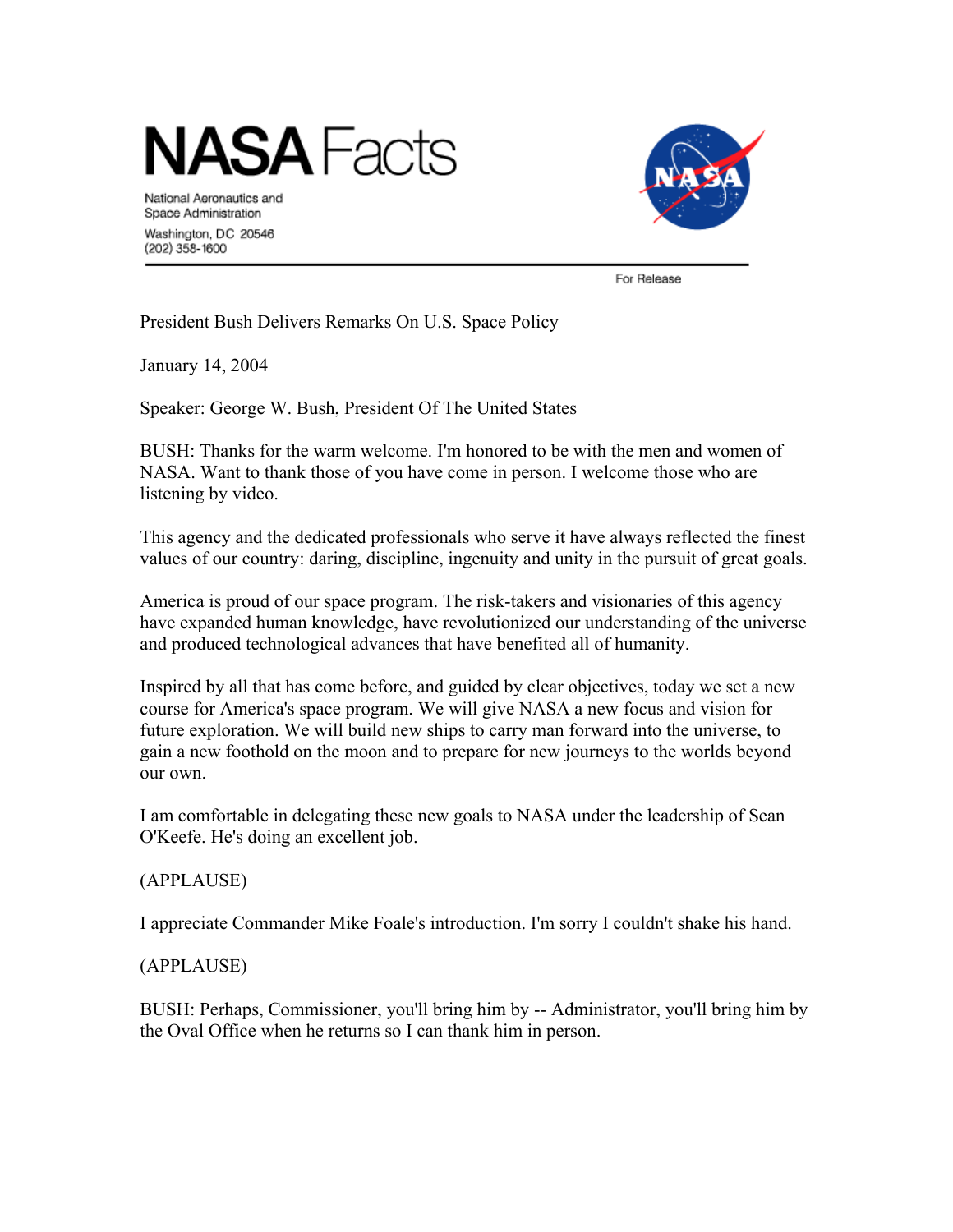# **NASA** Facts

National Aeronautics and Space Administration Washington, DC 20546 (202) 358-1600



For Release

President Bush Delivers Remarks On U.S. Space Policy

January 14, 2004

Speaker: George W. Bush, President Of The United States

BUSH: Thanks for the warm welcome. I'm honored to be with the men and women of NASA. Want to thank those of you have come in person. I welcome those who are listening by video.

This agency and the dedicated professionals who serve it have always reflected the finest values of our country: daring, discipline, ingenuity and unity in the pursuit of great goals.

America is proud of our space program. The risk-takers and visionaries of this agency have expanded human knowledge, have revolutionized our understanding of the universe and produced technological advances that have benefited all of humanity.

Inspired by all that has come before, and guided by clear objectives, today we set a new course for America's space program. We will give NASA a new focus and vision for future exploration. We will build new ships to carry man forward into the universe, to gain a new foothold on the moon and to prepare for new journeys to the worlds beyond our own.

I am comfortable in delegating these new goals to NASA under the leadership of Sean O'Keefe. He's doing an excellent job.

# (APPLAUSE)

I appreciate Commander Mike Foale's introduction. I'm sorry I couldn't shake his hand.

# (APPLAUSE)

BUSH: Perhaps, Commissioner, you'll bring him by -- Administrator, you'll bring him by the Oval Office when he returns so I can thank him in person.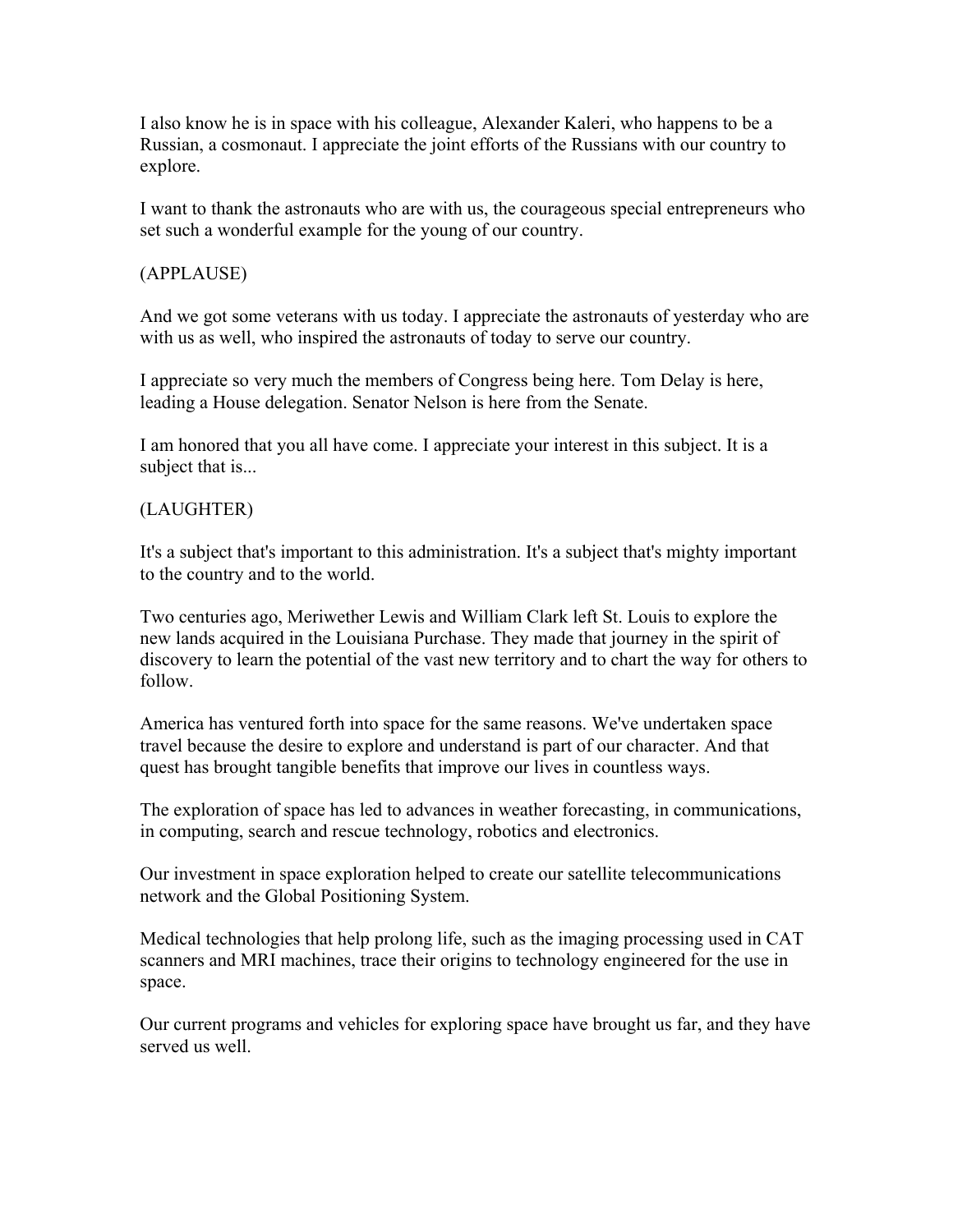I also know he is in space with his colleague, Alexander Kaleri, who happens to be a Russian, a cosmonaut. I appreciate the joint efforts of the Russians with our country to explore.

I want to thank the astronauts who are with us, the courageous special entrepreneurs who set such a wonderful example for the young of our country.

## (APPLAUSE)

And we got some veterans with us today. I appreciate the astronauts of yesterday who are with us as well, who inspired the astronauts of today to serve our country.

I appreciate so very much the members of Congress being here. Tom Delay is here, leading a House delegation. Senator Nelson is here from the Senate.

I am honored that you all have come. I appreciate your interest in this subject. It is a subject that is...

## (LAUGHTER)

It's a subject that's important to this administration. It's a subject that's mighty important to the country and to the world.

Two centuries ago, Meriwether Lewis and William Clark left St. Louis to explore the new lands acquired in the Louisiana Purchase. They made that journey in the spirit of discovery to learn the potential of the vast new territory and to chart the way for others to follow.

America has ventured forth into space for the same reasons. We've undertaken space travel because the desire to explore and understand is part of our character. And that quest has brought tangible benefits that improve our lives in countless ways.

The exploration of space has led to advances in weather forecasting, in communications, in computing, search and rescue technology, robotics and electronics.

Our investment in space exploration helped to create our satellite telecommunications network and the Global Positioning System.

Medical technologies that help prolong life, such as the imaging processing used in CAT scanners and MRI machines, trace their origins to technology engineered for the use in space.

Our current programs and vehicles for exploring space have brought us far, and they have served us well.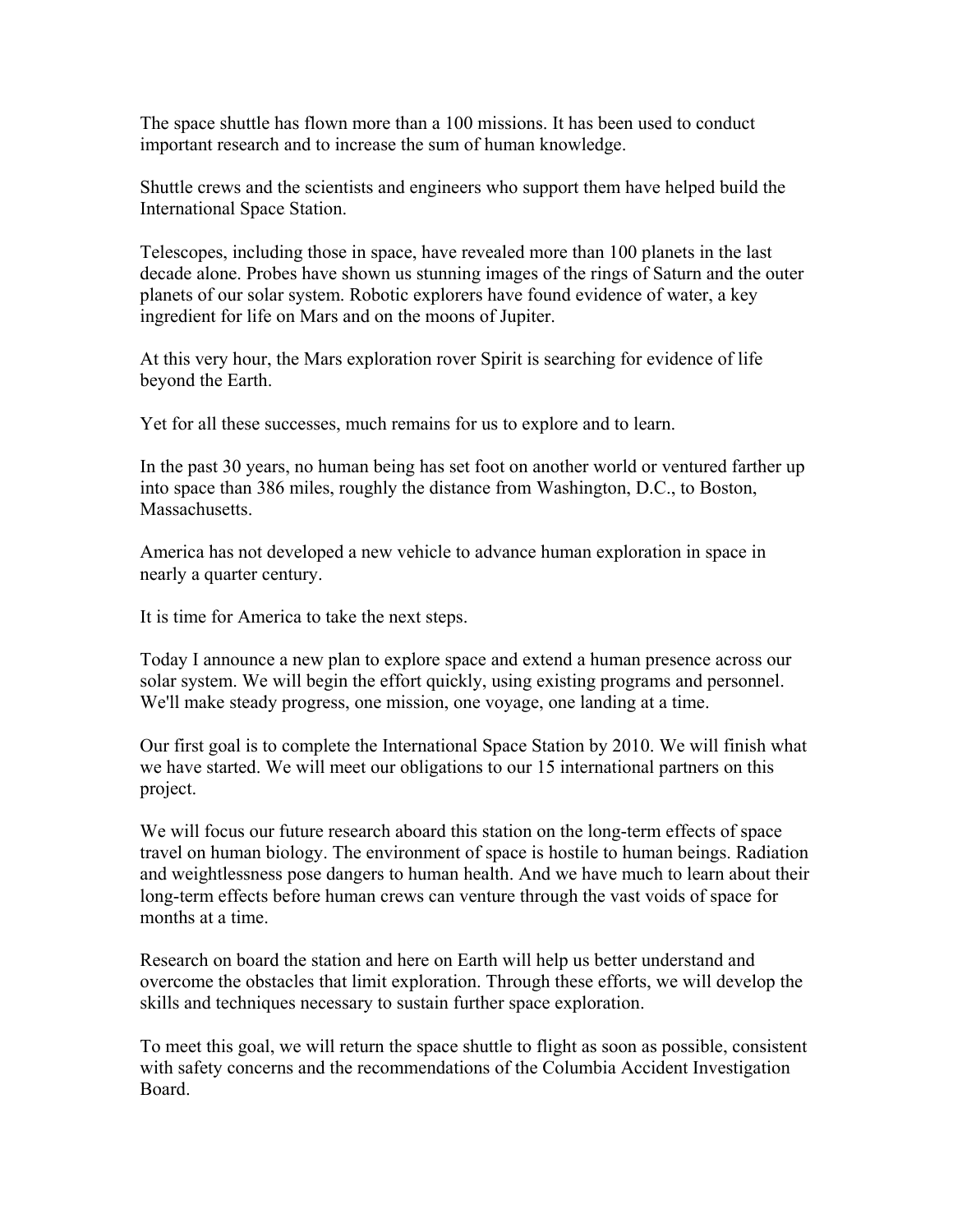The space shuttle has flown more than a 100 missions. It has been used to conduct important research and to increase the sum of human knowledge.

Shuttle crews and the scientists and engineers who support them have helped build the International Space Station.

Telescopes, including those in space, have revealed more than 100 planets in the last decade alone. Probes have shown us stunning images of the rings of Saturn and the outer planets of our solar system. Robotic explorers have found evidence of water, a key ingredient for life on Mars and on the moons of Jupiter.

At this very hour, the Mars exploration rover Spirit is searching for evidence of life beyond the Earth.

Yet for all these successes, much remains for us to explore and to learn.

In the past 30 years, no human being has set foot on another world or ventured farther up into space than 386 miles, roughly the distance from Washington, D.C., to Boston, **Massachusetts** 

America has not developed a new vehicle to advance human exploration in space in nearly a quarter century.

It is time for America to take the next steps.

Today I announce a new plan to explore space and extend a human presence across our solar system. We will begin the effort quickly, using existing programs and personnel. We'll make steady progress, one mission, one voyage, one landing at a time.

Our first goal is to complete the International Space Station by 2010. We will finish what we have started. We will meet our obligations to our 15 international partners on this project.

We will focus our future research aboard this station on the long-term effects of space travel on human biology. The environment of space is hostile to human beings. Radiation and weightlessness pose dangers to human health. And we have much to learn about their long-term effects before human crews can venture through the vast voids of space for months at a time.

Research on board the station and here on Earth will help us better understand and overcome the obstacles that limit exploration. Through these efforts, we will develop the skills and techniques necessary to sustain further space exploration.

To meet this goal, we will return the space shuttle to flight as soon as possible, consistent with safety concerns and the recommendations of the Columbia Accident Investigation Board.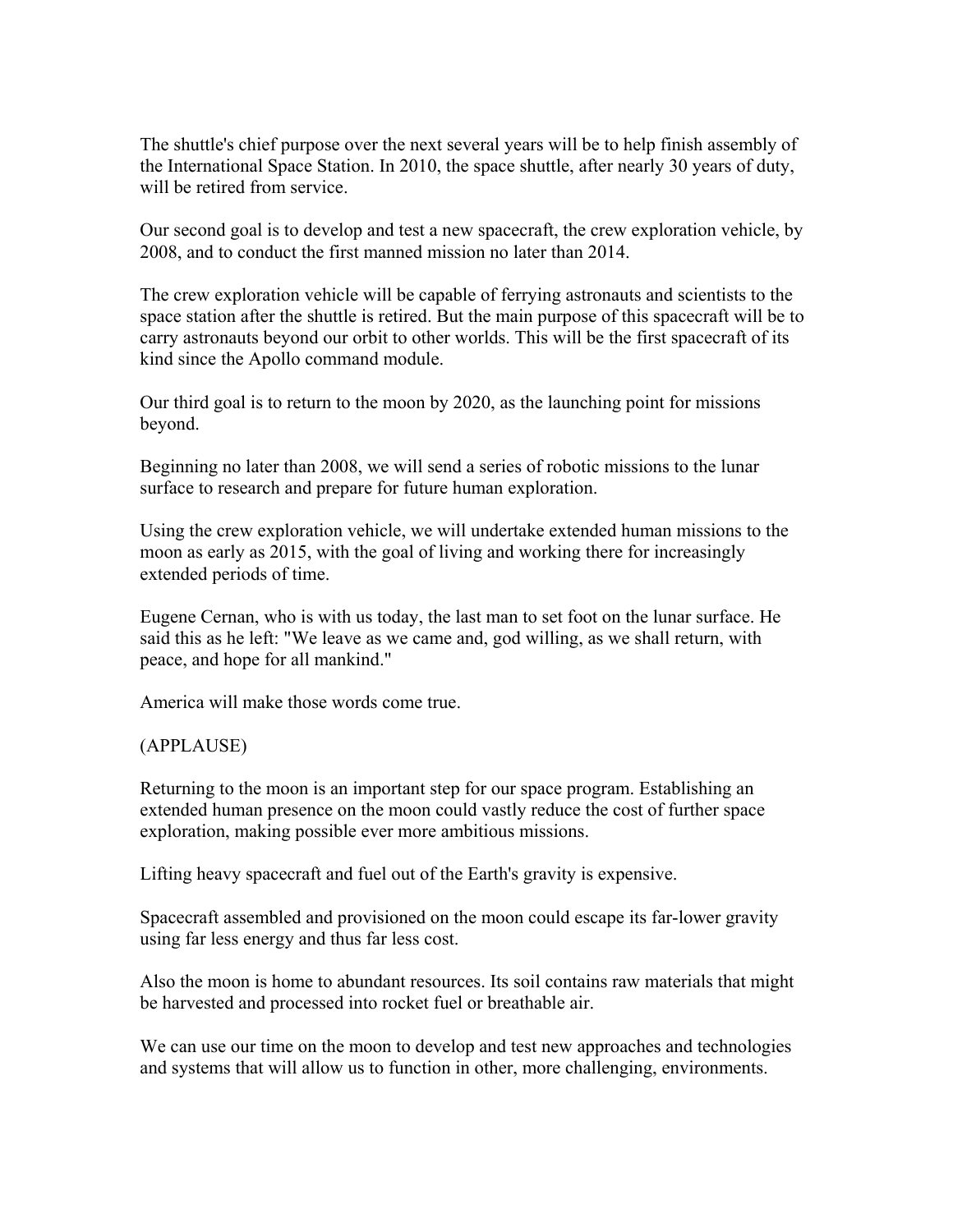The shuttle's chief purpose over the next several years will be to help finish assembly of the International Space Station. In 2010, the space shuttle, after nearly 30 years of duty, will be retired from service.

Our second goal is to develop and test a new spacecraft, the crew exploration vehicle, by 2008, and to conduct the first manned mission no later than 2014.

The crew exploration vehicle will be capable of ferrying astronauts and scientists to the space station after the shuttle is retired. But the main purpose of this spacecraft will be to carry astronauts beyond our orbit to other worlds. This will be the first spacecraft of its kind since the Apollo command module.

Our third goal is to return to the moon by 2020, as the launching point for missions beyond.

Beginning no later than 2008, we will send a series of robotic missions to the lunar surface to research and prepare for future human exploration.

Using the crew exploration vehicle, we will undertake extended human missions to the moon as early as 2015, with the goal of living and working there for increasingly extended periods of time.

Eugene Cernan, who is with us today, the last man to set foot on the lunar surface. He said this as he left: "We leave as we came and, god willing, as we shall return, with peace, and hope for all mankind."

America will make those words come true.

#### (APPLAUSE)

Returning to the moon is an important step for our space program. Establishing an extended human presence on the moon could vastly reduce the cost of further space exploration, making possible ever more ambitious missions.

Lifting heavy spacecraft and fuel out of the Earth's gravity is expensive.

Spacecraft assembled and provisioned on the moon could escape its far-lower gravity using far less energy and thus far less cost.

Also the moon is home to abundant resources. Its soil contains raw materials that might be harvested and processed into rocket fuel or breathable air.

We can use our time on the moon to develop and test new approaches and technologies and systems that will allow us to function in other, more challenging, environments.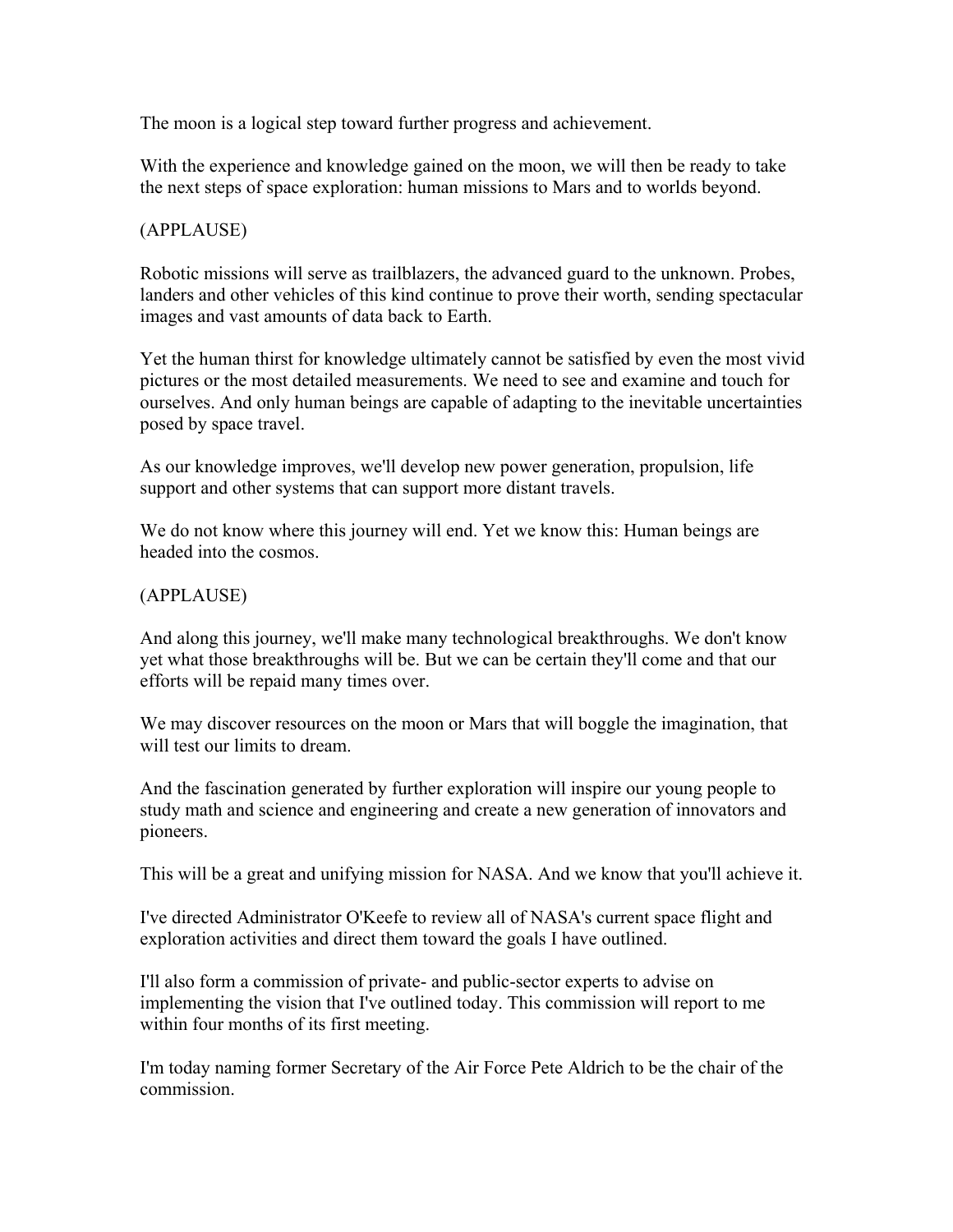The moon is a logical step toward further progress and achievement.

With the experience and knowledge gained on the moon, we will then be ready to take the next steps of space exploration: human missions to Mars and to worlds beyond.

# (APPLAUSE)

Robotic missions will serve as trailblazers, the advanced guard to the unknown. Probes, landers and other vehicles of this kind continue to prove their worth, sending spectacular images and vast amounts of data back to Earth.

Yet the human thirst for knowledge ultimately cannot be satisfied by even the most vivid pictures or the most detailed measurements. We need to see and examine and touch for ourselves. And only human beings are capable of adapting to the inevitable uncertainties posed by space travel.

As our knowledge improves, we'll develop new power generation, propulsion, life support and other systems that can support more distant travels.

We do not know where this journey will end. Yet we know this: Human beings are headed into the cosmos.

## (APPLAUSE)

And along this journey, we'll make many technological breakthroughs. We don't know yet what those breakthroughs will be. But we can be certain they'll come and that our efforts will be repaid many times over.

We may discover resources on the moon or Mars that will boggle the imagination, that will test our limits to dream.

And the fascination generated by further exploration will inspire our young people to study math and science and engineering and create a new generation of innovators and pioneers.

This will be a great and unifying mission for NASA. And we know that you'll achieve it.

I've directed Administrator O'Keefe to review all of NASA's current space flight and exploration activities and direct them toward the goals I have outlined.

I'll also form a commission of private- and public-sector experts to advise on implementing the vision that I've outlined today. This commission will report to me within four months of its first meeting.

I'm today naming former Secretary of the Air Force Pete Aldrich to be the chair of the commission.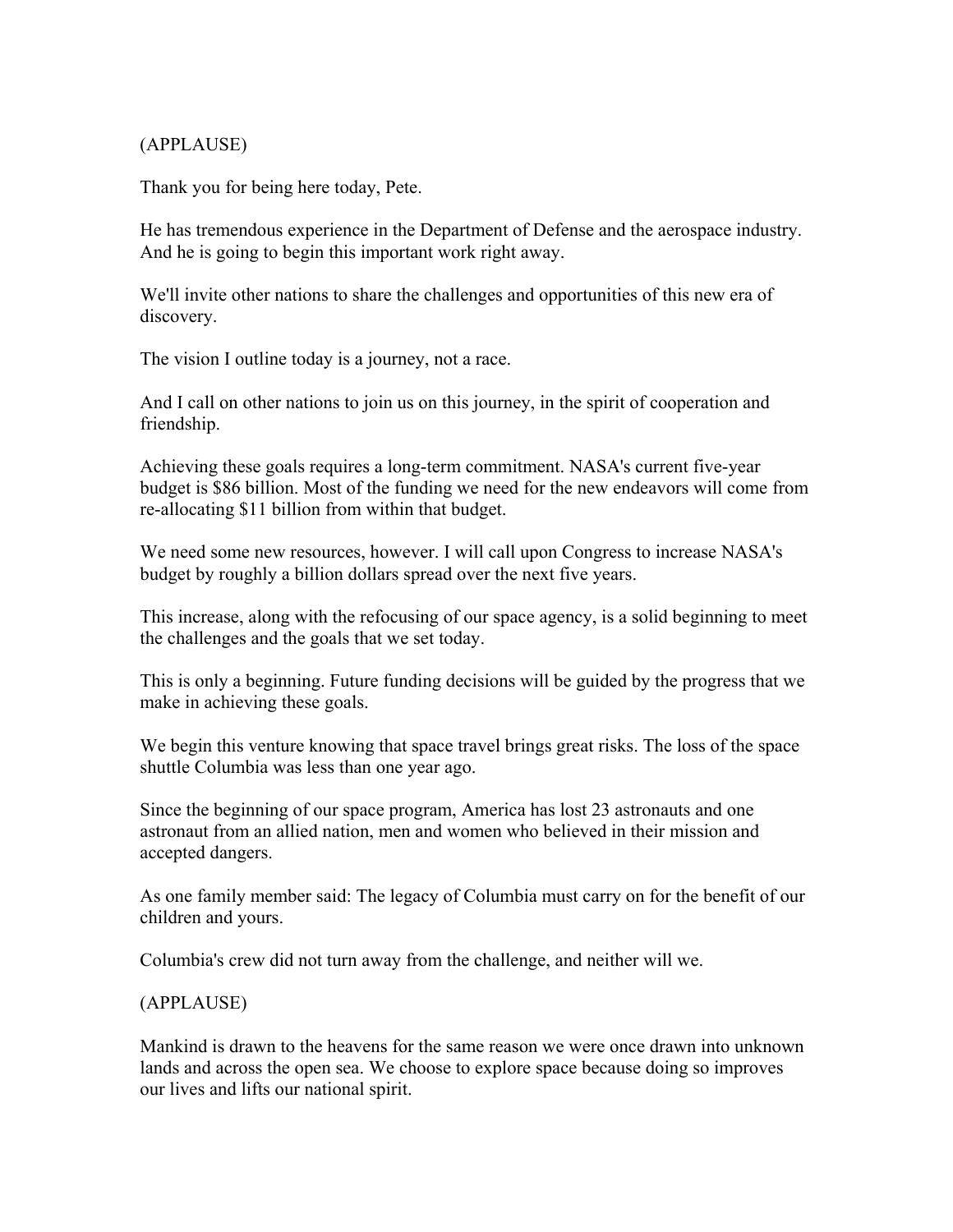(APPLAUSE)

Thank you for being here today, Pete.

He has tremendous experience in the Department of Defense and the aerospace industry. And he is going to begin this important work right away.

We'll invite other nations to share the challenges and opportunities of this new era of discovery.

The vision I outline today is a journey, not a race.

And I call on other nations to join us on this journey, in the spirit of cooperation and friendship.

Achieving these goals requires a long-term commitment. NASA's current five-year budget is \$86 billion. Most of the funding we need for the new endeavors will come from re-allocating \$11 billion from within that budget.

We need some new resources, however. I will call upon Congress to increase NASA's budget by roughly a billion dollars spread over the next five years.

This increase, along with the refocusing of our space agency, is a solid beginning to meet the challenges and the goals that we set today.

This is only a beginning. Future funding decisions will be guided by the progress that we make in achieving these goals.

We begin this venture knowing that space travel brings great risks. The loss of the space shuttle Columbia was less than one year ago.

Since the beginning of our space program, America has lost 23 astronauts and one astronaut from an allied nation, men and women who believed in their mission and accepted dangers.

As one family member said: The legacy of Columbia must carry on for the benefit of our children and yours.

Columbia's crew did not turn away from the challenge, and neither will we.

#### (APPLAUSE)

Mankind is drawn to the heavens for the same reason we were once drawn into unknown lands and across the open sea. We choose to explore space because doing so improves our lives and lifts our national spirit.